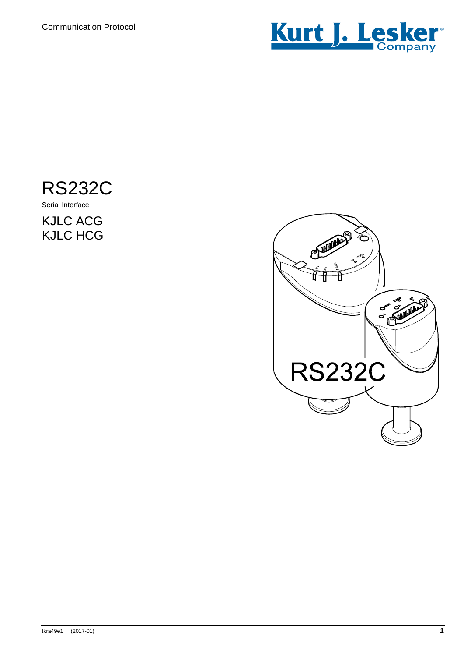



Serial Interface

KJLC ACG KJLC HCG

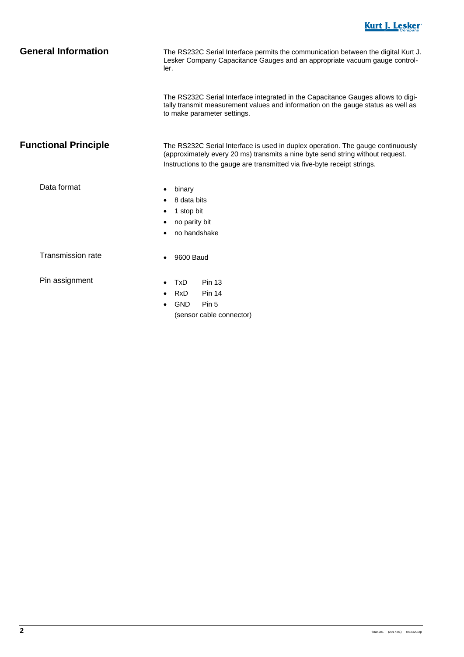## **General Information**

The RS232C Serial Interface permits the communication between the digital Kurt J. Lesker Company Capacitance Gauges and an appropriate vacuum gauge controller.

The RS232C Serial Interface integrated in the Capacitance Gauges allows to digitally transmit measurement values and information on the gauge status as well as to make parameter settings.

## **Functional Principle**

The RS232C Serial Interface is used in duplex operation. The gauge continuously (approximately every 20 ms) transmits a nine byte send string without request. Instructions to the gauge are transmitted via five-byte receipt strings.

Data format

- binary
- 8 data bits
- 1 stop bit
- no parity bit
- no handshake

Transmission rate

• 9600 Baud

Pin assignment

- TxD Pin 13
- RxD Pin 14
- GND Pin 5 (sensor cable connector)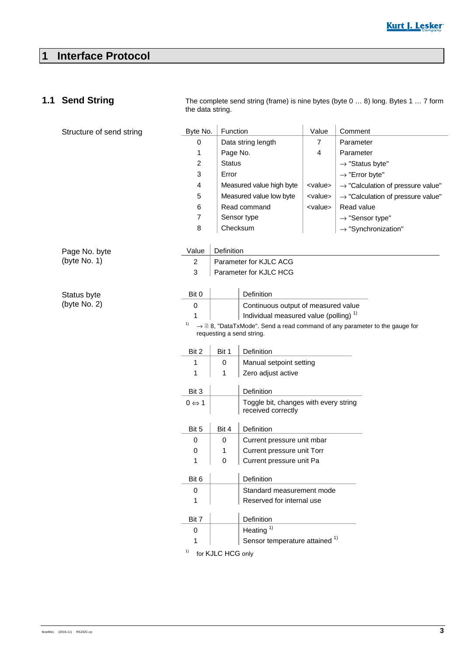# **1 Interface Protocol**

## **1.1 Send String**

The complete send string (frame) is nine bytes (byte 0 … 8) long. Bytes 1 … 7 form the data string.

| Structure of send string      | Byte No.                      | Function                                                                             |                                                   | Value           | Comment                                       |  |  |
|-------------------------------|-------------------------------|--------------------------------------------------------------------------------------|---------------------------------------------------|-----------------|-----------------------------------------------|--|--|
|                               | 0                             | Data string length                                                                   |                                                   | 7               | Parameter                                     |  |  |
|                               | 1                             | Page No.                                                                             |                                                   | 4               | Parameter                                     |  |  |
|                               | 2                             | <b>Status</b>                                                                        |                                                   |                 | $\rightarrow$ "Status byte"                   |  |  |
|                               | 3                             | Error                                                                                |                                                   |                 | $\rightarrow$ "Error byte"                    |  |  |
|                               | 4                             |                                                                                      | Measured value high byte                          | <value></value> | $\rightarrow$ "Calculation of pressure value" |  |  |
|                               | 5                             |                                                                                      | Measured value low byte                           | <value></value> | $\rightarrow$ "Calculation of pressure value" |  |  |
|                               | 6                             |                                                                                      | Read command                                      | <value></value> | Read value                                    |  |  |
|                               | 7                             |                                                                                      | Sensor type                                       |                 | $\rightarrow$ "Sensor type"                   |  |  |
|                               | 8                             | Checksum                                                                             |                                                   |                 | $\rightarrow$ "Synchronization"               |  |  |
|                               |                               | Definition                                                                           |                                                   |                 |                                               |  |  |
| Page No. byte<br>(byte No. 1) | Value                         |                                                                                      |                                                   |                 |                                               |  |  |
|                               | $\overline{c}$<br>$\mathbf 3$ |                                                                                      | Parameter for KJLC ACG<br>Parameter for KJLC HCG  |                 |                                               |  |  |
|                               |                               |                                                                                      |                                                   |                 |                                               |  |  |
| Status byte                   | Bit 0                         |                                                                                      | Definition                                        |                 |                                               |  |  |
| (byte No. 2)                  | 0                             |                                                                                      | Continuous output of measured value               |                 |                                               |  |  |
|                               | 1                             |                                                                                      | Individual measured value (polling) <sup>1)</sup> |                 |                                               |  |  |
|                               | 1)                            | $\rightarrow$ 8, "DataTxMode". Send a read command of any parameter to the gauge for |                                                   |                 |                                               |  |  |
|                               |                               | requesting a send string.                                                            |                                                   |                 |                                               |  |  |
|                               | Bit 2                         | Bit 1                                                                                | Definition                                        |                 |                                               |  |  |
|                               | 1                             | 0                                                                                    | Manual setpoint setting                           |                 |                                               |  |  |
|                               | 1                             | 1                                                                                    | Zero adjust active                                |                 |                                               |  |  |
|                               | Bit 3                         |                                                                                      | Definition                                        |                 |                                               |  |  |
|                               | $0 \Leftrightarrow 1$         |                                                                                      | Toggle bit, changes with every string             |                 |                                               |  |  |
|                               |                               |                                                                                      | received correctly                                |                 |                                               |  |  |
|                               | Bit 5                         | Bit 4                                                                                | Definition                                        |                 |                                               |  |  |
|                               | 0                             | 0                                                                                    | Current pressure unit mbar                        |                 |                                               |  |  |
|                               | 0                             | 1                                                                                    | Current pressure unit Torr                        |                 |                                               |  |  |
|                               | 1                             | $\pmb{0}$                                                                            | Current pressure unit Pa                          |                 |                                               |  |  |
|                               | Bit 6                         |                                                                                      | Definition                                        |                 |                                               |  |  |
|                               | 0                             |                                                                                      | Standard measurement mode                         |                 |                                               |  |  |
|                               | 1                             |                                                                                      | Reserved for internal use                         |                 |                                               |  |  |
|                               | Bit 7                         |                                                                                      | Definition                                        |                 |                                               |  |  |
|                               | 0                             |                                                                                      | Heating <sup>1)</sup>                             |                 |                                               |  |  |
|                               | 1                             |                                                                                      | Sensor temperature attained 1)                    |                 |                                               |  |  |
|                               | for KJLC HCG only<br>1)       |                                                                                      |                                                   |                 |                                               |  |  |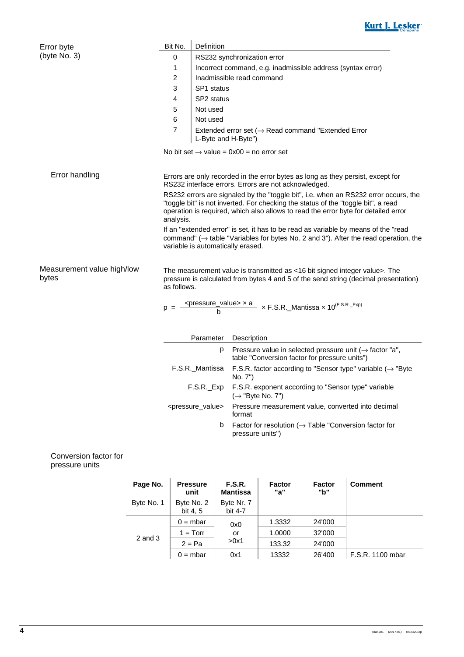

| Error byte                          | Bit No.                                                                                                                                                                                                                                                                     | Definition                                                                                        |                                                                                                                                                                   |  |  |  |  |
|-------------------------------------|-----------------------------------------------------------------------------------------------------------------------------------------------------------------------------------------------------------------------------------------------------------------------------|---------------------------------------------------------------------------------------------------|-------------------------------------------------------------------------------------------------------------------------------------------------------------------|--|--|--|--|
| (byte $No. 3$ )                     | 0                                                                                                                                                                                                                                                                           |                                                                                                   | RS232 synchronization error                                                                                                                                       |  |  |  |  |
|                                     | 1                                                                                                                                                                                                                                                                           | Incorrect command, e.g. inadmissible address (syntax error)                                       |                                                                                                                                                                   |  |  |  |  |
|                                     | $\overline{2}$                                                                                                                                                                                                                                                              |                                                                                                   | Inadmissible read command                                                                                                                                         |  |  |  |  |
|                                     | 3                                                                                                                                                                                                                                                                           | SP1 status                                                                                        |                                                                                                                                                                   |  |  |  |  |
|                                     | 4                                                                                                                                                                                                                                                                           | SP <sub>2</sub> status                                                                            |                                                                                                                                                                   |  |  |  |  |
|                                     | 5                                                                                                                                                                                                                                                                           | Not used                                                                                          |                                                                                                                                                                   |  |  |  |  |
|                                     | 6                                                                                                                                                                                                                                                                           | Not used                                                                                          |                                                                                                                                                                   |  |  |  |  |
|                                     | $\overline{7}$                                                                                                                                                                                                                                                              | L-Byte and H-Byte")                                                                               | Extended error set ( $\rightarrow$ Read command "Extended Error                                                                                                   |  |  |  |  |
|                                     |                                                                                                                                                                                                                                                                             |                                                                                                   | No bit set $\rightarrow$ value = 0x00 = no error set                                                                                                              |  |  |  |  |
| <b>Error handling</b>               |                                                                                                                                                                                                                                                                             |                                                                                                   | Errors are only recorded in the error bytes as long as they persist, except for<br>RS232 interface errors. Errors are not acknowledged.                           |  |  |  |  |
|                                     | RS232 errors are signaled by the "toggle bit", i.e. when an RS232 error occurs, the<br>"toggle bit" is not inverted. For checking the status of the "toggle bit", a read<br>operation is required, which also allows to read the error byte for detailed error<br>analysis. |                                                                                                   |                                                                                                                                                                   |  |  |  |  |
|                                     | If an "extended error" is set, it has to be read as variable by means of the "read<br>command" ( $\rightarrow$ table "Variables for bytes No. 2 and 3"). After the read operation, the<br>variable is automatically erased.                                                 |                                                                                                   |                                                                                                                                                                   |  |  |  |  |
| Measurement value high/low<br>bytes | as follows.                                                                                                                                                                                                                                                                 |                                                                                                   | The measurement value is transmitted as <16 bit signed integer value>. The<br>pressure is calculated from bytes 4 and 5 of the send string (decimal presentation) |  |  |  |  |
|                                     | $\frac{p}{2}$ <pressure_value> <math>\times</math> a <math>\times</math> F.S.R._Mantissa <math>\times</math> 10<sup>(F.S.R._Exp)</sup><br/>h</pressure_value>                                                                                                               |                                                                                                   |                                                                                                                                                                   |  |  |  |  |
|                                     |                                                                                                                                                                                                                                                                             | Parameter                                                                                         | Description                                                                                                                                                       |  |  |  |  |
|                                     |                                                                                                                                                                                                                                                                             | p                                                                                                 | Pressure value in selected pressure unit ( $\rightarrow$ factor "a",<br>table "Conversion factor for pressure units")                                             |  |  |  |  |
|                                     |                                                                                                                                                                                                                                                                             | F.S.R._Mantissa                                                                                   | F.S.R. factor according to "Sensor type" variable $(\rightarrow$ "Byte<br>No. 7")                                                                                 |  |  |  |  |
|                                     |                                                                                                                                                                                                                                                                             | F.S.R. exponent according to "Sensor type" variable<br>F.S.R._Exp<br>$(\rightarrow$ "Byte No. 7") |                                                                                                                                                                   |  |  |  |  |

### <pressure\_value> Pressure measurement value, converted into decimal format b | Factor for resolution ( $\rightarrow$  Table "Conversion factor for

### Conversion factor for pressure units

| Page No.    | <b>Pressure</b><br>unit | F.S.R.<br><b>Mantissa</b> | <b>Factor</b><br>"a" | <b>Factor</b><br>"b" | <b>Comment</b>   |
|-------------|-------------------------|---------------------------|----------------------|----------------------|------------------|
| Byte No. 1  | Byte No. 2<br>bit 4, 5  | Byte Nr. 7<br>bit 4-7     |                      |                      |                  |
|             | $0 = mbar$              | 0x0                       | 1.3332               | 24'000               |                  |
|             | $1 = Torr$              | or                        | 1.0000               | 32'000               |                  |
| $2$ and $3$ | $2 = Pa$                | >0x1                      | 133.32               | 24'000               |                  |
|             | $0 = mbar$              | 0x1                       | 13332                | 26'400               | F.S.R. 1100 mbar |

pressure units")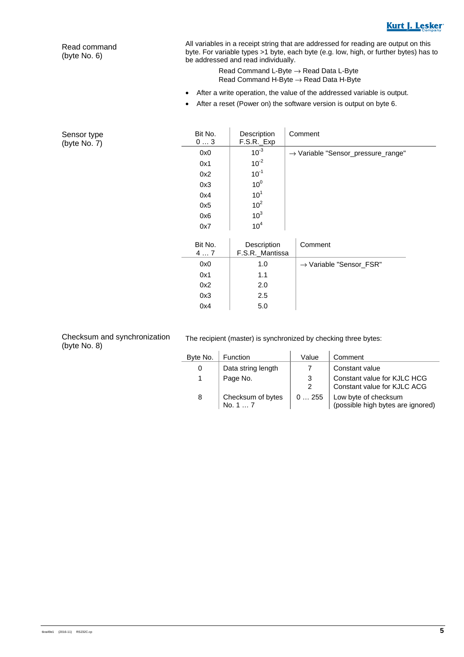

Read command (byte No. 6)

All variables in a receipt string that are addressed for reading are output on this byte. For variable types >1 byte, each byte (e.g. low, high, or further bytes) has to be addressed and read individually.

> Read Command L-Byte → Read Data L-Byte Read Command H-Byte → Read Data H-Byte

- After a write operation, the value of the addressed variable is output.
- After a reset (Power on) the software version is output on byte 6.

| Sensor type<br>(byte $No. 7$ ) | Bit No.<br>03 | Description<br>F.S.R._Exp      | Comment                                        |
|--------------------------------|---------------|--------------------------------|------------------------------------------------|
|                                | 0x0           | $10^{-3}$                      | $\rightarrow$ Variable "Sensor_pressure_range" |
|                                | 0x1           | $10^{-2}$                      |                                                |
|                                | 0x2           | $10^{-1}$                      |                                                |
|                                | 0x3           | 10 <sup>0</sup>                |                                                |
|                                | 0x4           | 10 <sup>1</sup>                |                                                |
|                                | 0x5           | 10 <sup>2</sup>                |                                                |
|                                | 0x6           | 10 <sup>3</sup>                |                                                |
|                                | 0x7           | 10 <sup>4</sup>                |                                                |
|                                |               |                                |                                                |
|                                | Bit No.<br>47 | Description<br>F.S.R._Mantissa | Comment                                        |
|                                | 0x0           | 1.0                            | $\rightarrow$ Variable "Sensor_FSR"            |
|                                | 0x1           | 1.1                            |                                                |
|                                | 0x2           | 2.0                            |                                                |
|                                | 0x3           | 2.5                            |                                                |
|                                | 0x4           | 5.0                            |                                                |

Checksum and synchronization (byte No. 8)

The recipient (master) is synchronized by checking three bytes:

| Byte No. | <b>Function</b>               | Value  | Comment                                                    |
|----------|-------------------------------|--------|------------------------------------------------------------|
| 0        | Data string length            |        | Constant value                                             |
|          | Page No.                      | 3<br>2 | Constant value for KJLC HCG<br>Constant value for KJLC ACG |
| 8        | Checksum of bytes<br>No. $17$ | 0255   | Low byte of checksum<br>(possible high bytes are ignored)  |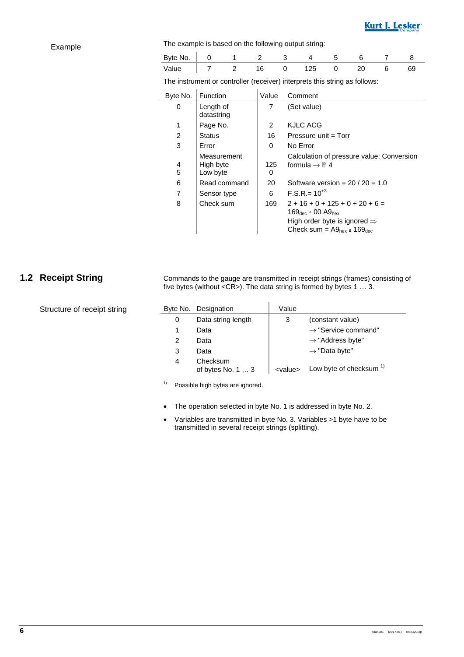### **Kurt J. Lesker**

### Example

#### The example is based on the following output string:

| Byte No. |                                          | $\overline{1}$ |          |     |  |  |
|----------|------------------------------------------|----------------|----------|-----|--|--|
| Value    | $\begin{array}{ccc} & 7 & 2 \end{array}$ |                | $\Omega$ | 125 |  |  |

The instrument or controller (receiver) interprets this string as follows:

| Byte No. | Function                             | Value          | Comment                                                                                                                                                                                                         |
|----------|--------------------------------------|----------------|-----------------------------------------------------------------------------------------------------------------------------------------------------------------------------------------------------------------|
| 0        | Length of<br>datastring              | 7              | (Set value)                                                                                                                                                                                                     |
| 1        | Page No.                             | $\overline{2}$ | KJLC ACG                                                                                                                                                                                                        |
| 2        | <b>Status</b>                        | 16             | Pressure unit $=$ Torr                                                                                                                                                                                          |
| 3        | Error                                | 0              | No Error                                                                                                                                                                                                        |
| 4<br>5   | Measurement<br>High byte<br>Low byte | 125.<br>0      | Calculation of pressure value: Conversion<br>formula $\rightarrow \mathbb{R}$ 4                                                                                                                                 |
| 6        | Read command                         | 20             | Software version = $20/20 = 1.0$                                                                                                                                                                                |
| 7        | Sensor type                          | 6              | $F.S.R = 10^{+3}$                                                                                                                                                                                               |
| 8        | Check sum                            | 169            | $2 + 16 + 0 + 125 + 0 + 20 + 6 =$<br>$169_{\text{dec}}$ $\triangleq$ 00 A $9_{\text{hex}}$<br>High order byte is ignored $\Rightarrow$<br>Check sum = $\text{A9}_{\text{hex}}$ $\triangleq$ 169 $_{\text{dec}}$ |

### **1.2 Receipt String**

Structure of receipt string

Commands to the gauge are transmitted in receipt strings (frames) consisting of five bytes (without <CR>). The data string is formed by bytes 1 … 3.

| Byte No.       | Designation                   | Value           |                                    |
|----------------|-------------------------------|-----------------|------------------------------------|
| 0              | Data string length            | 3               | (constant value)                   |
|                | Data                          |                 | $\rightarrow$ "Service command"    |
| $\overline{2}$ | Data                          |                 | $\rightarrow$ "Address byte"       |
| 3              | Data                          |                 | $\rightarrow$ "Data byte"          |
| 4              | Checksum<br>of bytes No. 1  3 | <value></value> | Low byte of checksum <sup>1)</sup> |

<sup>1)</sup> Possible high bytes are ignored.

- The operation selected in byte No. 1 is addressed in byte No. 2.
- Variables are transmitted in byte No. 3. Variables >1 byte have to be transmitted in several receipt strings (splitting).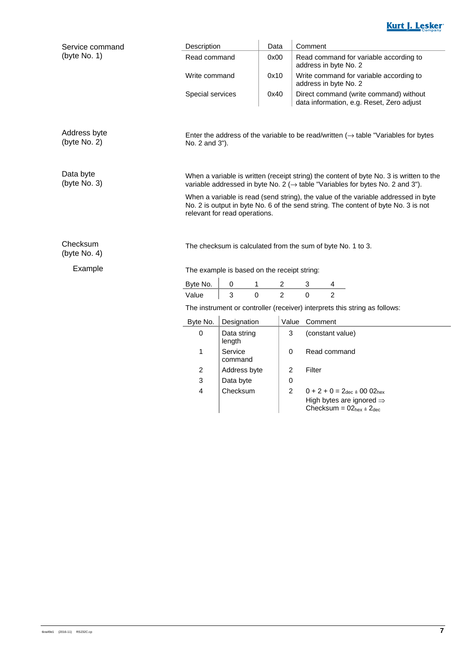## Kurt J. Lesker

| Service command                 | Description                                                                                                      |                       | Data     |                | Comment                                                                                                                                                                               |  |  |
|---------------------------------|------------------------------------------------------------------------------------------------------------------|-----------------------|----------|----------------|---------------------------------------------------------------------------------------------------------------------------------------------------------------------------------------|--|--|
| (byte $No. 1)$                  | Read command                                                                                                     |                       | 0x00     |                | Read command for variable according to<br>address in byte No. 2                                                                                                                       |  |  |
|                                 | Write command                                                                                                    |                       | 0x10     |                | Write command for variable according to<br>address in byte No. 2                                                                                                                      |  |  |
|                                 | Special services                                                                                                 |                       | 0x40     |                | Direct command (write command) without<br>data information, e.g. Reset, Zero adjust                                                                                                   |  |  |
|                                 |                                                                                                                  |                       |          |                |                                                                                                                                                                                       |  |  |
| Address byte<br>(byte $No. 2$ ) | Enter the address of the variable to be read/written $(\rightarrow$ table "Variables for bytes<br>No. 2 and 3"). |                       |          |                |                                                                                                                                                                                       |  |  |
|                                 |                                                                                                                  |                       |          |                |                                                                                                                                                                                       |  |  |
| Data byte<br>(byte $No. 3$ )    |                                                                                                                  |                       |          |                | When a variable is written (receipt string) the content of byte No. 3 is written to the<br>variable addressed in byte No. 2 ( $\rightarrow$ table "Variables for bytes No. 2 and 3"). |  |  |
|                                 | relevant for read operations.                                                                                    |                       |          |                | When a variable is read (send string), the value of the variable addressed in byte<br>No. 2 is output in byte No. 6 of the send string. The content of byte No. 3 is not              |  |  |
| Checksum<br>(byte $No. 4$ )     |                                                                                                                  |                       |          |                | The checksum is calculated from the sum of byte No. 1 to 3.                                                                                                                           |  |  |
| Example                         | The example is based on the receipt string:                                                                      |                       |          |                |                                                                                                                                                                                       |  |  |
|                                 | Byte No.                                                                                                         | 0                     | 1        | 2              | 3<br>4                                                                                                                                                                                |  |  |
|                                 | Value                                                                                                            | 3                     | $\Omega$ | $\overline{2}$ | $\Omega$<br>$\mathfrak{p}$                                                                                                                                                            |  |  |
|                                 |                                                                                                                  |                       |          |                | The instrument or controller (receiver) interprets this string as follows:                                                                                                            |  |  |
|                                 | Byte No.                                                                                                         | Designation           |          | Value          | Comment                                                                                                                                                                               |  |  |
|                                 | 0                                                                                                                | Data string<br>length |          | 3              | (constant value)                                                                                                                                                                      |  |  |
|                                 | 1                                                                                                                | Service<br>command    |          | 0              | Read command                                                                                                                                                                          |  |  |
|                                 | 2                                                                                                                | Address byte          |          | 2              | Filter                                                                                                                                                                                |  |  |
|                                 | 3                                                                                                                | Data byte             |          | 0              |                                                                                                                                                                                       |  |  |
|                                 | 4                                                                                                                | Checksum              |          | $\overline{c}$ | $0 + 2 + 0 = 2_{\text{dec}} \triangleq 0002_{\text{hex}}$                                                                                                                             |  |  |
|                                 |                                                                                                                  |                       |          |                | High bytes are ignored $\Rightarrow$<br>Checksum = $02_{hex} \triangleq 2_{dec}$                                                                                                      |  |  |
|                                 |                                                                                                                  |                       |          |                |                                                                                                                                                                                       |  |  |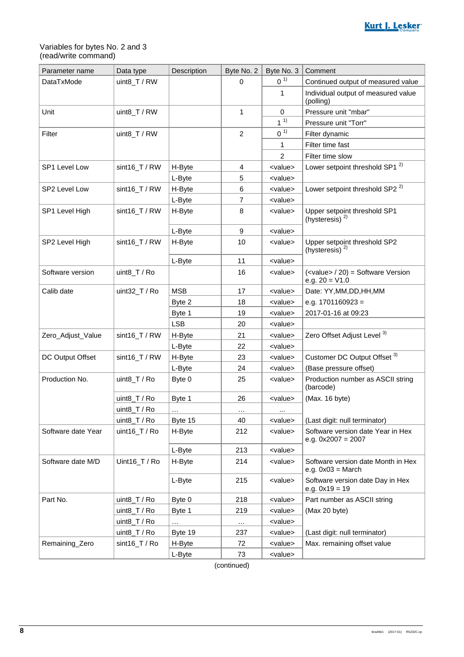### Variables for bytes No. 2 and 3 (read/write command)

| Parameter name     | Data type                     | Description | Byte No. 2     | Byte No. 3      | Comment                                                                    |
|--------------------|-------------------------------|-------------|----------------|-----------------|----------------------------------------------------------------------------|
| DataTxMode         | uint8_T / RW                  |             | 0              | 0 <sup>1</sup>  | Continued output of measured value                                         |
|                    |                               |             |                | 1               | Individual output of measured value<br>(polling)                           |
| Unit               | uint8_T / RW                  |             | $\mathbf{1}$   | 0               | Pressure unit "mbar"                                                       |
|                    |                               |             |                | $1^{11}$        | Pressure unit "Torr"                                                       |
| Filter             | uint8_T / RW                  |             | $\overline{2}$ | 0 <sup>1</sup>  | Filter dynamic                                                             |
|                    |                               |             |                | 1               | Filter time fast                                                           |
|                    |                               |             |                | $\overline{2}$  | Filter time slow                                                           |
| SP1 Level Low      | sint16_T / RW                 | H-Byte      | 4              | <value></value> | Lower setpoint threshold SP1 <sup>2)</sup>                                 |
|                    |                               | L-Byte      | 5              | <value></value> |                                                                            |
| SP2 Level Low      | $sint16_T / RW$               | H-Byte      | 6              | <value></value> | Lower setpoint threshold SP2 <sup>2)</sup>                                 |
|                    |                               | L-Byte      | 7              | <value></value> |                                                                            |
| SP1 Level High     | sint16_T / RW                 | H-Byte      | 8              | <value></value> | Upper setpoint threshold SP1<br>(hysteresis) <sup>2)</sup>                 |
|                    |                               | L-Byte      | 9              | <value></value> |                                                                            |
| SP2 Level High     | sint16_T / RW                 | H-Byte      | 10             | <value></value> | Upper setpoint threshold SP2<br>(hysteresis) $^{2)}$                       |
|                    |                               | L-Byte      | 11             | <value></value> |                                                                            |
| Software version   | uint8_T / Ro                  |             | 16             | <value></value> | ( <value> / 20) = Software Version<br/>e.g. <math>20 = V1.0</math></value> |
| Calib date         | uint $32$ <sub>_</sub> T / Ro | <b>MSB</b>  | 17             | <value></value> | Date: YY, MM, DD, HH, MM                                                   |
|                    |                               | Byte 2      | 18             | <value></value> | e.g. $1701160923 =$                                                        |
|                    |                               | Byte 1      | 19             | <value></value> | 2017-01-16 at 09:23                                                        |
|                    |                               | <b>LSB</b>  | 20             | <value></value> |                                                                            |
| Zero_Adjust_Value  | $sint16_T / RW$               | H-Byte      | 21             | <value></value> | Zero Offset Adjust Level <sup>3)</sup>                                     |
|                    |                               | L-Byte      | 22             | <value></value> |                                                                            |
| DC Output Offset   | sint16_T / RW                 | H-Byte      | 23             | <value></value> | Customer DC Output Offset <sup>3)</sup>                                    |
|                    |                               | L-Byte      | 24             | <value></value> | (Base pressure offset)                                                     |
| Production No.     | uint8_T / Ro                  | Byte 0      | 25             | <value></value> | Production number as ASCII string<br>(barcode)                             |
|                    | uint8_T / Ro                  | Byte 1      | 26             | <value></value> | (Max. 16 byte)                                                             |
|                    | uint $8$ <sub>T</sub> / Ro    | $\cdots$    | $\cdots$       | $\cdots$        |                                                                            |
|                    | uint8_T / Ro                  | Byte 15     | 40             | <value></value> | (Last digit: null terminator)                                              |
| Software date Year | uint16_T / Ro                 | H-Byte      | 212            | <value></value> | Software version date Year in Hex<br>e.g. $0x2007 = 2007$                  |
|                    |                               | L-Byte      | 213            | <value></value> |                                                                            |
| Software date M/D  | Uint16_T / Ro                 | H-Byte      | 214            | <value></value> | Software version date Month in Hex<br>e.g. $0x03 = March$                  |
|                    |                               | L-Byte      | 215            | <value></value> | Software version date Day in Hex<br>e.g. $0x19 = 19$                       |
| Part No.           | uint8_T / Ro                  | Byte 0      | 218            | <value></value> | Part number as ASCII string                                                |
|                    | uint8_T / Ro                  | Byte 1      | 219            | <value></value> | (Max 20 byte)                                                              |
|                    | uint8_T / Ro                  |             | $\cdots$       | <value></value> |                                                                            |
|                    | uint8_T / Ro                  | Byte 19     | 237            | <value></value> | (Last digit: null terminator)                                              |
| Remaining_Zero     | sint16_T / Ro                 | H-Byte      | 72             | <value></value> | Max. remaining offset value                                                |
|                    |                               | L-Byte      | 73             | <value></value> |                                                                            |

(continued)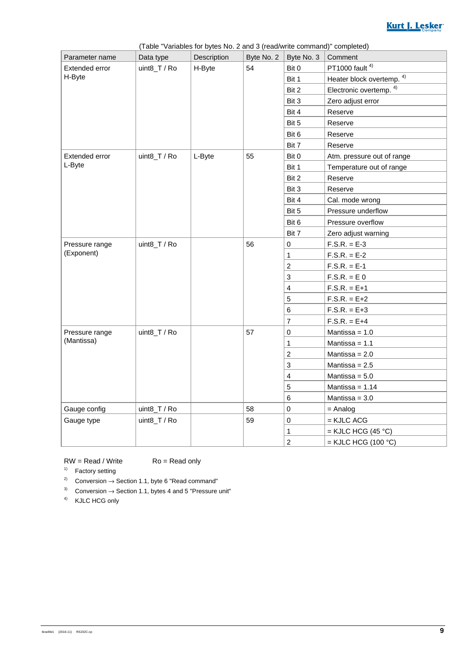## **Kurt J. Lesker**

| (Table "Variables for bytes No. 2 and 3 (read/write command)" completed) |              |             |            |                           |                                    |  |  |  |
|--------------------------------------------------------------------------|--------------|-------------|------------|---------------------------|------------------------------------|--|--|--|
| Parameter name                                                           | Data type    | Description | Byte No. 2 | Byte No. 3                | Comment                            |  |  |  |
| Extended error                                                           | uint8_T / Ro | H-Byte      | 54         | Bit 0                     | PT1000 fault <sup>4)</sup>         |  |  |  |
| H-Byte                                                                   |              |             |            | Bit 1                     | Heater block overtemp. 4)          |  |  |  |
|                                                                          |              |             |            | Bit 2                     | Electronic overtemp. <sup>4)</sup> |  |  |  |
|                                                                          |              |             |            | Bit 3                     | Zero adjust error                  |  |  |  |
|                                                                          |              |             |            | Bit 4                     | Reserve                            |  |  |  |
|                                                                          |              |             |            | Bit 5                     | Reserve                            |  |  |  |
|                                                                          |              |             |            | Bit 6                     | Reserve                            |  |  |  |
|                                                                          |              |             |            | Bit 7                     | Reserve                            |  |  |  |
| Extended error                                                           | uint8_T / Ro | L-Byte      | 55         | Bit 0                     | Atm. pressure out of range         |  |  |  |
| L-Byte                                                                   |              |             |            | Bit 1                     | Temperature out of range           |  |  |  |
|                                                                          |              |             |            | Bit 2                     | Reserve                            |  |  |  |
|                                                                          |              |             |            | Bit 3                     | Reserve                            |  |  |  |
|                                                                          |              |             |            | Bit 4                     | Cal. mode wrong                    |  |  |  |
|                                                                          |              |             |            | Bit 5                     | Pressure underflow                 |  |  |  |
|                                                                          |              |             |            | Bit 6                     | Pressure overflow                  |  |  |  |
|                                                                          |              |             |            | Bit 7                     | Zero adjust warning                |  |  |  |
| Pressure range                                                           | uint8_T / Ro |             | 56         | 0                         | $F.S.R. = E-3$                     |  |  |  |
| (Exponent)                                                               |              |             |            | 1                         | $F.S.R. = E-2$                     |  |  |  |
|                                                                          |              |             |            | $\overline{c}$            | $F.S.R. = E-1$                     |  |  |  |
|                                                                          |              |             |            | 3                         | $F.S.R. = E 0$                     |  |  |  |
|                                                                          |              |             |            | 4                         | $F.S.R. = E + 1$                   |  |  |  |
|                                                                          |              |             |            | 5                         | $F.S.R. = E + 2$                   |  |  |  |
|                                                                          |              |             |            | 6                         | $F.S.R. = E + 3$                   |  |  |  |
|                                                                          |              |             |            | 7                         | $F.S.R. = E+4$                     |  |  |  |
| Pressure range                                                           | uint8_T / Ro |             | 57         | 0                         | Mantissa = 1.0                     |  |  |  |
| (Mantissa)                                                               |              |             |            | 1                         | Mantissa = $1.1$                   |  |  |  |
|                                                                          |              |             |            | $\overline{c}$            | Mantissa = $2.0$                   |  |  |  |
|                                                                          |              |             |            | $\ensuremath{\mathsf{3}}$ | Mantissa = $2.5$                   |  |  |  |
|                                                                          |              |             |            | 4                         | Mantissa = $5.0$                   |  |  |  |
|                                                                          |              |             |            | 5                         | Mantissa = $1.14$                  |  |  |  |
|                                                                          |              |             |            | 6                         | Mantissa = $3.0$                   |  |  |  |
| Gauge config                                                             | uint8_T / Ro |             | 58         | 0                         | $=$ Analog                         |  |  |  |
| Gauge type                                                               | uint8_T / Ro |             | 59         | 0                         | $=$ KJLC ACG                       |  |  |  |
|                                                                          |              |             |            | 1                         | $=$ KJLC HCG (45 °C)               |  |  |  |
|                                                                          |              |             |            | $\overline{2}$            | $=$ KJLC HCG (100 °C)              |  |  |  |

### $RW = Read / Write$   $Ro = Read only$

<sup>1)</sup> Factory setting

<sup>2)</sup> Conversion  $\rightarrow$  Section 1.1, byte 6 "Read command"

3) Conversion  $\rightarrow$  Section 1.1, bytes 4 and 5 "Pressure unit"

4) KJLC HCG only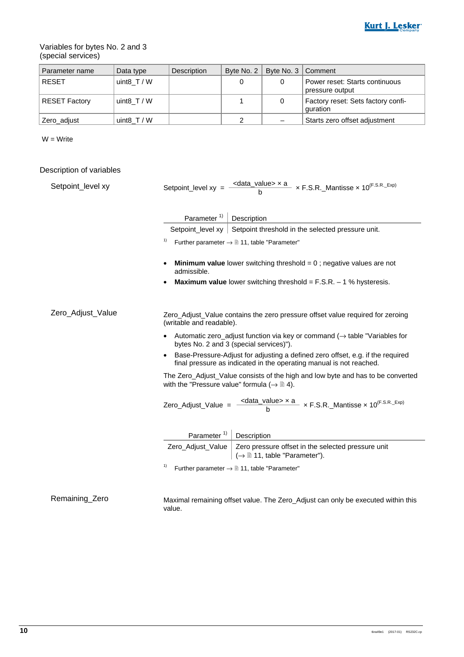#### Variables for bytes No. 2 and 3 (special services)

| Parameter name | Data type   | Description | Byte No. $2 \mid$ | Byte No. 3   Comment |                                                   |
|----------------|-------------|-------------|-------------------|----------------------|---------------------------------------------------|
| <b>RESET</b>   | uint8 $T/W$ |             |                   |                      | Power reset: Starts continuous<br>pressure output |
| RESET Factory  | uint8 $T/W$ |             |                   |                      | Factory reset: Sets factory confi-<br>quration    |
| Zero_adjust    | uint8 $T/W$ |             |                   |                      | Starts zero offset adjustment                     |

W = Write

Description of variables

| Setpoint_level xy | $\frac{\text{cdata_value} \times a}{h}$ × F.S.R. Mantisse × 10 <sup>(F.S.R. Exp)</sup><br>Setpoint_level $xy = -$                                                                                                                                                                                                                                                                                                                         |  |  |
|-------------------|-------------------------------------------------------------------------------------------------------------------------------------------------------------------------------------------------------------------------------------------------------------------------------------------------------------------------------------------------------------------------------------------------------------------------------------------|--|--|
|                   | Parameter <sup>1)</sup><br>Description                                                                                                                                                                                                                                                                                                                                                                                                    |  |  |
|                   | Setpoint_level xy   Setpoint threshold in the selected pressure unit.                                                                                                                                                                                                                                                                                                                                                                     |  |  |
|                   | 1)<br>Further parameter $\rightarrow \blacksquare$ 11, table "Parameter"                                                                                                                                                                                                                                                                                                                                                                  |  |  |
|                   | <b>Minimum value</b> lower switching threshold $= 0$ ; negative values are not<br>admissible.                                                                                                                                                                                                                                                                                                                                             |  |  |
|                   | <b>Maximum value</b> lower switching threshold = $F.S.R. - 1\%$ hysteresis.                                                                                                                                                                                                                                                                                                                                                               |  |  |
|                   |                                                                                                                                                                                                                                                                                                                                                                                                                                           |  |  |
| Zero_Adjust_Value | Zero_Adjust_Value contains the zero pressure offset value required for zeroing<br>(writable and readable).                                                                                                                                                                                                                                                                                                                                |  |  |
|                   | Automatic zero_adjust function via key or command ( $\rightarrow$ table "Variables for<br>bytes No. 2 and 3 (special services)").                                                                                                                                                                                                                                                                                                         |  |  |
|                   | Base-Pressure-Adjust for adjusting a defined zero offset, e.g. if the required<br>final pressure as indicated in the operating manual is not reached.                                                                                                                                                                                                                                                                                     |  |  |
|                   | The Zero_Adjust_Value consists of the high and low byte and has to be converted<br>with the "Pressure value" formula ( $\rightarrow \mathbb{B}$ 4).                                                                                                                                                                                                                                                                                       |  |  |
|                   | Zero_Adjust_Value = $\frac{\text{ } \leq \text{ } \leq \text{ } \leq \text{ } \leq \text{ } \leq \text{ } \leq \text{ } \leq \text{ } \leq \text{ } \leq \text{ } \leq \text{ } \leq \text{ } \leq \text{ } \leq \text{ } \leq \text{ } \leq \text{ } \leq \text{ } \leq \text{ } \leq \text{ } \leq \text{ } \leq \text{ } \leq \text{ } \leq \text{ } \leq \text{ } \leq \text{ } \leq \text{ } \leq \text{ } \leq \text{ } \leq \text$ |  |  |
|                   | Parameter <sup>1)</sup><br>Description                                                                                                                                                                                                                                                                                                                                                                                                    |  |  |
|                   | Zero pressure offset in the selected pressure unit<br>Zero Adjust Value                                                                                                                                                                                                                                                                                                                                                                   |  |  |
|                   | $(\rightarrow \mathbb{B} 11,$ table "Parameter").                                                                                                                                                                                                                                                                                                                                                                                         |  |  |
|                   | 1)<br>Further parameter $\rightarrow \blacksquare$ 11, table "Parameter"                                                                                                                                                                                                                                                                                                                                                                  |  |  |
| Remaining_Zero    | Maximal remaining offset value. The Zero_Adjust can only be executed within this<br>value.                                                                                                                                                                                                                                                                                                                                                |  |  |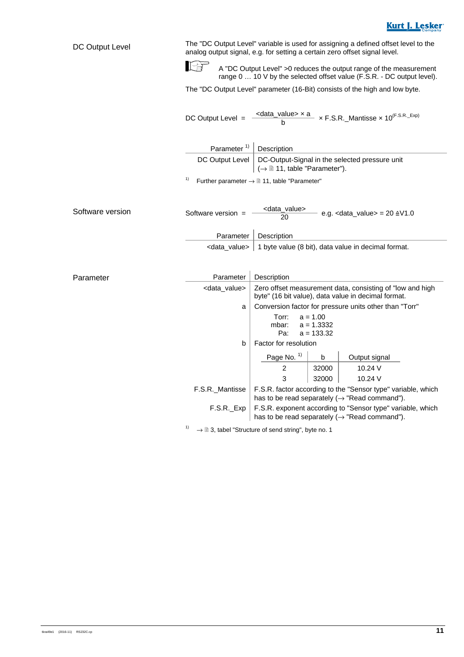| DC Output Level  | 【安                                         | The "DC Output Level" variable is used for assigning a defined offset level to the<br>analog output signal, e.g. for setting a certain zero offset signal level.<br>A "DC Output Level" > 0 reduces the output range of the measurement<br>range 0  10 V by the selected offset value (F.S.R. - DC output level).<br>The "DC Output Level" parameter (16-Bit) consists of the high and low byte. |
|------------------|--------------------------------------------|--------------------------------------------------------------------------------------------------------------------------------------------------------------------------------------------------------------------------------------------------------------------------------------------------------------------------------------------------------------------------------------------------|
|                  |                                            | DC Output Level = $\frac{\text{cdata_value} \times a}{b} \times F.S.R.\_ \text{Mantisse} \times 10^{(F.S.R.\_Exp)}$                                                                                                                                                                                                                                                                              |
|                  | Parameter <sup>1)</sup><br>DC Output Level | Description<br>DC-Output-Signal in the selected pressure unit<br>$(\rightarrow \mathbb{B} 11,$ table "Parameter").                                                                                                                                                                                                                                                                               |
|                  | 1)                                         | Further parameter $\rightarrow \blacksquare$ 11, table "Parameter"                                                                                                                                                                                                                                                                                                                               |
| Software version | Software version =                         | <data_value><br/><math>-</math> e.g. <data_value> = 20 <math>\triangle 10.0</math></data_value></data_value>                                                                                                                                                                                                                                                                                     |
|                  | Parameter                                  | Description                                                                                                                                                                                                                                                                                                                                                                                      |
|                  |                                            | $\alpha$ <data_value>   1 byte value (8 bit), data value in decimal format.</data_value>                                                                                                                                                                                                                                                                                                         |
| Parameter        | Parameter                                  | Description                                                                                                                                                                                                                                                                                                                                                                                      |
|                  | <data value=""></data>                     | Zero offset measurement data, consisting of "low and high<br>byte" (16 bit value), data value in decimal format.                                                                                                                                                                                                                                                                                 |
|                  | a                                          | Conversion factor for pressure units other than "Torr"                                                                                                                                                                                                                                                                                                                                           |
|                  |                                            | Torr:<br>$a = 1.00$<br>mbar:<br>$a = 1.3332$<br>Pa:<br>$a = 133.32$                                                                                                                                                                                                                                                                                                                              |
|                  | b                                          | Factor for resolution                                                                                                                                                                                                                                                                                                                                                                            |
|                  |                                            | Page No. <sup>1)</sup><br>b<br>Output signal                                                                                                                                                                                                                                                                                                                                                     |
|                  |                                            | 2<br>32000<br>10.24 V                                                                                                                                                                                                                                                                                                                                                                            |
|                  |                                            | 3<br>32000<br>10.24 $V$                                                                                                                                                                                                                                                                                                                                                                          |
|                  | F.S.R. Mantisse                            | F.S.R. factor according to the "Sensor type" variable, which<br>has to be read separately ( $\rightarrow$ "Read command").                                                                                                                                                                                                                                                                       |
|                  | F.S.R. Exp                                 | F.S.R. exponent according to "Sensor type" variable, which<br>has to be read separately ( $\rightarrow$ "Read command").                                                                                                                                                                                                                                                                         |

 $1)$   $\rightarrow$   $\blacksquare$  3, tabel "Structure of send string", byte no. 1